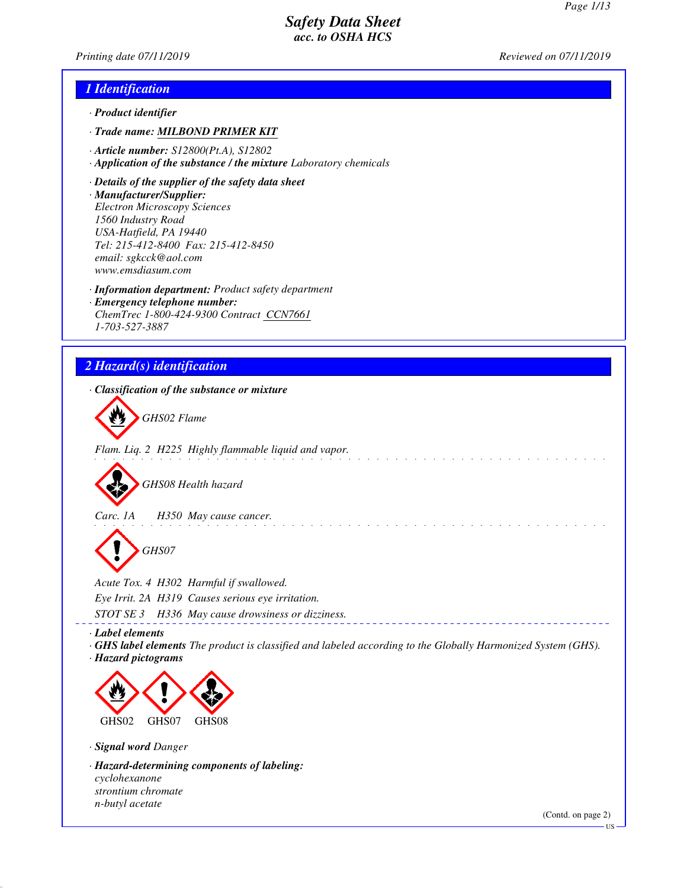*Printing date 07/11/2019 Reviewed on 07/11/2019*

#### *1 Identification*

- *· Product identifier*
- *· Trade name: MILBOND PRIMER KIT*
- *· Article number: S12800(Pt.A), S12802*
- *· Application of the substance / the mixture Laboratory chemicals*
- *· Details of the supplier of the safety data sheet*
- *· Manufacturer/Supplier: Electron Microscopy Sciences*
- *1560 Industry Road USA-Hatfield, PA 19440 Tel: 215-412-8400 Fax: 215-412-8450 email: sgkcck@aol.com www.emsdiasum.com*
- *· Information department: Product safety department*
- *· Emergency telephone number: ChemTrec 1-800-424-9300 Contract CCN7661 1-703-527-3887*

# *2 Hazard(s) identification*

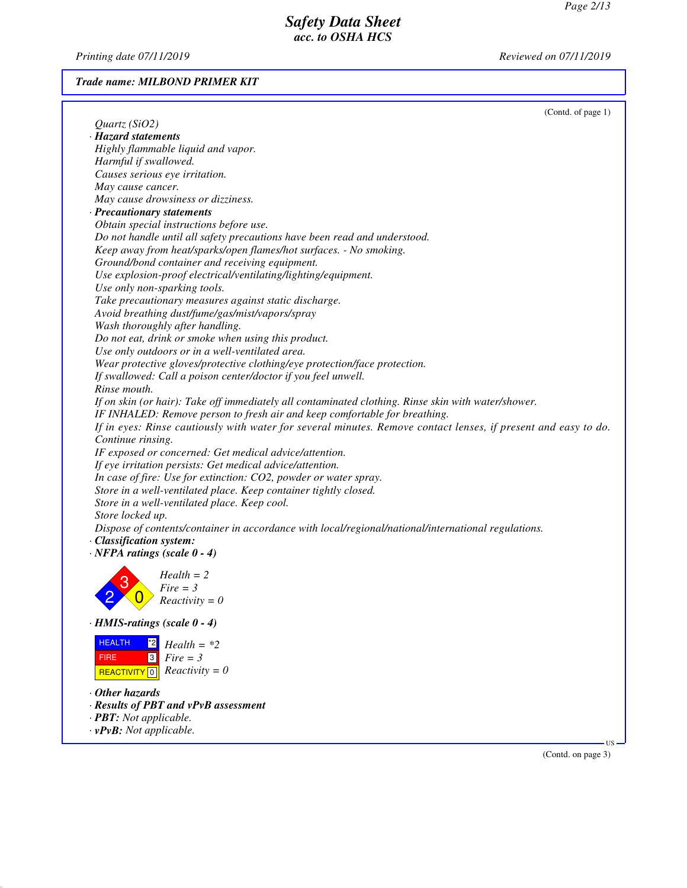*Printing date 07/11/2019 Reviewed on 07/11/2019*

## *Trade name: MILBOND PRIMER KIT*

|                                                                                                                | (Contd. of page 1) |
|----------------------------------------------------------------------------------------------------------------|--------------------|
| Quartz(SiO2)                                                                                                   |                    |
| · Hazard statements                                                                                            |                    |
| Highly flammable liquid and vapor.                                                                             |                    |
| Harmful if swallowed.                                                                                          |                    |
| Causes serious eye irritation.                                                                                 |                    |
| May cause cancer.                                                                                              |                    |
| May cause drowsiness or dizziness.                                                                             |                    |
| · Precautionary statements                                                                                     |                    |
| Obtain special instructions before use.                                                                        |                    |
| Do not handle until all safety precautions have been read and understood.                                      |                    |
| Keep away from heat/sparks/open flames/hot surfaces. - No smoking.                                             |                    |
| Ground/bond container and receiving equipment.                                                                 |                    |
| Use explosion-proof electrical/ventilating/lighting/equipment.                                                 |                    |
| Use only non-sparking tools.                                                                                   |                    |
| Take precautionary measures against static discharge.                                                          |                    |
| Avoid breathing dust/fume/gas/mist/vapors/spray                                                                |                    |
| Wash thoroughly after handling.                                                                                |                    |
| Do not eat, drink or smoke when using this product.                                                            |                    |
| Use only outdoors or in a well-ventilated area.                                                                |                    |
| Wear protective gloves/protective clothing/eye protection/face protection.                                     |                    |
| If swallowed: Call a poison center/doctor if you feel unwell.                                                  |                    |
| Rinse mouth.                                                                                                   |                    |
| If on skin (or hair): Take off immediately all contaminated clothing. Rinse skin with water/shower.            |                    |
| IF INHALED: Remove person to fresh air and keep comfortable for breathing.                                     |                    |
| If in eyes: Rinse cautiously with water for several minutes. Remove contact lenses, if present and easy to do. |                    |
| Continue rinsing.                                                                                              |                    |
| IF exposed or concerned: Get medical advice/attention.                                                         |                    |
| If eye irritation persists: Get medical advice/attention.                                                      |                    |
| In case of fire: Use for extinction: CO2, powder or water spray.                                               |                    |
| Store in a well-ventilated place. Keep container tightly closed.                                               |                    |
| Store in a well-ventilated place. Keep cool.                                                                   |                    |
| Store locked up.                                                                                               |                    |
| Dispose of contents/container in accordance with local/regional/national/international regulations.            |                    |
| · Classification system:                                                                                       |                    |
| $\cdot$ NFPA ratings (scale 0 - 4)                                                                             |                    |
|                                                                                                                |                    |
| $Health = 2$                                                                                                   |                    |
| $Fire = 3$                                                                                                     |                    |
| $Reactivity = 0$                                                                                               |                    |
|                                                                                                                |                    |
| $\cdot$ HMIS-ratings (scale 0 - 4)                                                                             |                    |
| <b>HEALTH</b><br><u>*2</u><br>$Health = *2$                                                                    |                    |
| $\sqrt{3}$<br><b>FIRE</b><br>$Fire = 3$                                                                        |                    |
| REACTIVITY 0 $Reactivity = 0$                                                                                  |                    |
|                                                                                                                |                    |
| $\cdot$ Other hazards                                                                                          |                    |
| · Results of PBT and vPvB assessment                                                                           |                    |
| · <b>PBT</b> : Not applicable.                                                                                 |                    |
| $\cdot$ vPvB: Not applicable.                                                                                  |                    |

(Contd. on page 3)

US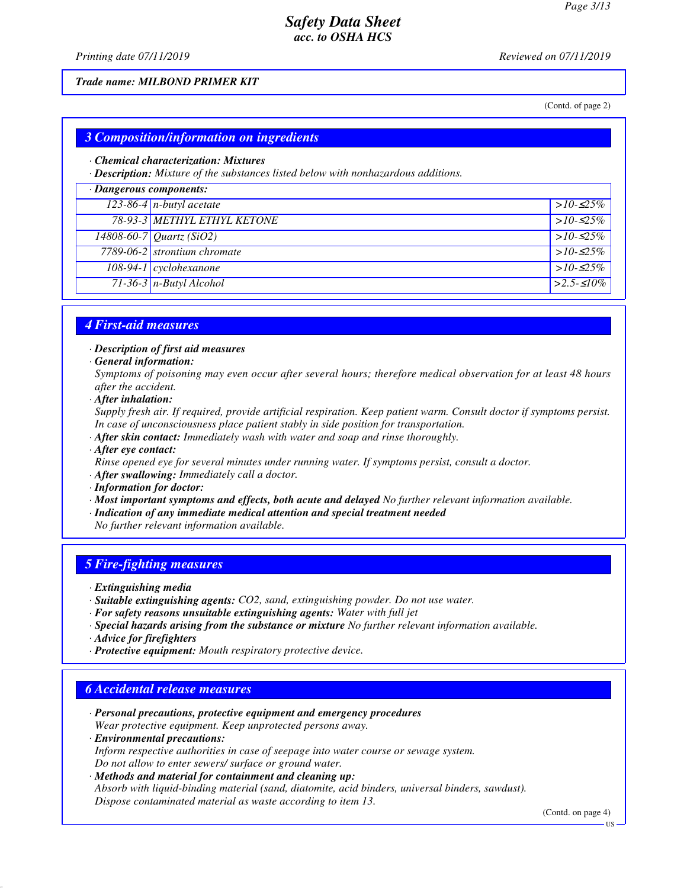*Printing date 07/11/2019 Reviewed on 07/11/2019*

#### *Trade name: MILBOND PRIMER KIT*

(Contd. of page 2)

## *3 Composition/information on ingredients*

#### *· Chemical characterization: Mixtures*

*· Description: Mixture of the substances listed below with nonhazardous additions.*

| $\cdot$ Dangerous components: |                                       |              |  |
|-------------------------------|---------------------------------------|--------------|--|
|                               | $123-86-4$ n-butyl acetate            | $>10-525\%$  |  |
|                               | <b>78-93-3 METHYL ETHYL KETONE</b>    | $>10-525\%$  |  |
|                               | $\sqrt{14808 - 60 - 7}$ Quartz (SiO2) | $>10-525\%$  |  |
|                               | 7789-06-2 strontium chromate          | $>10-525\%$  |  |
|                               | $108-94-1$ cyclohexanone              | $>10-525\%$  |  |
|                               | $71-36-3$ n-Butyl Alcohol             | $>2.5-510\%$ |  |

## *4 First-aid measures*

*· Description of first aid measures*

*· General information:*

*Symptoms of poisoning may even occur after several hours; therefore medical observation for at least 48 hours after the accident.*

*· After inhalation:*

*Supply fresh air. If required, provide artificial respiration. Keep patient warm. Consult doctor if symptoms persist. In case of unconsciousness place patient stably in side position for transportation.*

- *· After skin contact: Immediately wash with water and soap and rinse thoroughly.*
- *· After eye contact:*

*Rinse opened eye for several minutes under running water. If symptoms persist, consult a doctor.*

*· After swallowing: Immediately call a doctor.*

- *· Information for doctor:*
- *· Most important symptoms and effects, both acute and delayed No further relevant information available.*
- *· Indication of any immediate medical attention and special treatment needed*

*No further relevant information available.*

## *5 Fire-fighting measures*

- *· Extinguishing media*
- *· Suitable extinguishing agents: CO2, sand, extinguishing powder. Do not use water.*
- *· For safety reasons unsuitable extinguishing agents: Water with full jet*
- *· Special hazards arising from the substance or mixture No further relevant information available.*
- *· Advice for firefighters*
- *· Protective equipment: Mouth respiratory protective device.*

## *6 Accidental release measures*

*· Personal precautions, protective equipment and emergency procedures Wear protective equipment. Keep unprotected persons away. · Environmental precautions:*

*Inform respective authorities in case of seepage into water course or sewage system. Do not allow to enter sewers/ surface or ground water.*

*· Methods and material for containment and cleaning up: Absorb with liquid-binding material (sand, diatomite, acid binders, universal binders, sawdust). Dispose contaminated material as waste according to item 13.*

(Contd. on page 4)

US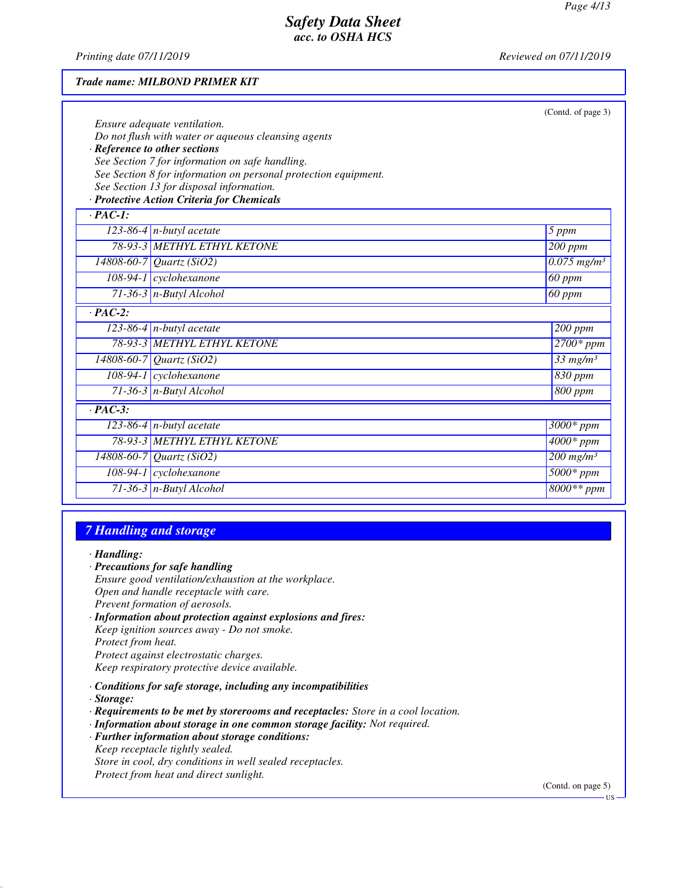*Printing date 07/11/2019 Reviewed on 07/11/2019*

#### *Trade name: MILBOND PRIMER KIT*

|                |                                                                 | (Contd. of page 3)                   |
|----------------|-----------------------------------------------------------------|--------------------------------------|
|                | Ensure adequate ventilation.                                    |                                      |
|                | Do not flush with water or aqueous cleansing agents             |                                      |
|                | · Reference to other sections                                   |                                      |
|                | See Section 7 for information on safe handling.                 |                                      |
|                | See Section 8 for information on personal protection equipment. |                                      |
|                | See Section 13 for disposal information.                        |                                      |
|                | · Protective Action Criteria for Chemicals                      |                                      |
| $\cdot$ PAC-1: |                                                                 |                                      |
|                | $123-86-4$ n-butyl acetate                                      | 5 ppm                                |
|                | 78-93-3 METHYL ETHYL KETONE                                     | 200 ppm                              |
|                | 14808-60-7 Quartz (SiO2)                                        | $\overline{0.075}$ mg/m <sup>3</sup> |
|                | 108-94-1 cyclohexanone                                          | 60 ppm                               |
|                | $71-36-3$ n-Butyl Alcohol                                       | 60 ppm                               |
| $\cdot$ PAC-2: |                                                                 |                                      |
|                | 123-86-4 $n$ -butyl acetate                                     | $200$ ppm                            |
|                | 78-93-3 METHYL ETHYL KETONE                                     | $2700*ppm$                           |
|                | $14808 - 60 - 7$ Quartz (SiO2)                                  | $\frac{33}{3}$ mg/m <sup>3</sup>     |
|                | 108-94-1 cyclohexanone                                          | 830 ppm                              |
|                | $71-36-3$ n-Butyl Alcohol                                       | 800 ppm                              |
| $\cdot$ PAC-3: |                                                                 |                                      |
|                | 123-86-4 $n$ -butyl acetate                                     | $3000*$ ppm                          |
|                | 78-93-3 METHYL ETHYL KETONE                                     | $4000*$ ppm                          |
|                | $14808 - 60 - 7$ Quartz (SiO2)                                  | $200$ mg/m <sup>3</sup>              |
|                | 108-94-1 cyclohexanone                                          | $5000*ppm$                           |
|                | $71-36-3$ n-Butyl Alcohol                                       | $8000**$ ppm                         |
|                |                                                                 |                                      |

## *7 Handling and storage*

#### *· Handling:*

- *· Precautions for safe handling Ensure good ventilation/exhaustion at the workplace. Open and handle receptacle with care. Prevent formation of aerosols. · Information about protection against explosions and fires: Keep ignition sources away - Do not smoke.*
- *Protect from heat.*
- *Protect against electrostatic charges.*

*Keep respiratory protective device available.*

- *· Conditions for safe storage, including any incompatibilities*
- *· Storage:*
- *· Requirements to be met by storerooms and receptacles: Store in a cool location.*
- *· Information about storage in one common storage facility: Not required.*
- *· Further information about storage conditions:*
- *Keep receptacle tightly sealed.*
- *Store in cool, dry conditions in well sealed receptacles. Protect from heat and direct sunlight.*

(Contd. on page 5)

US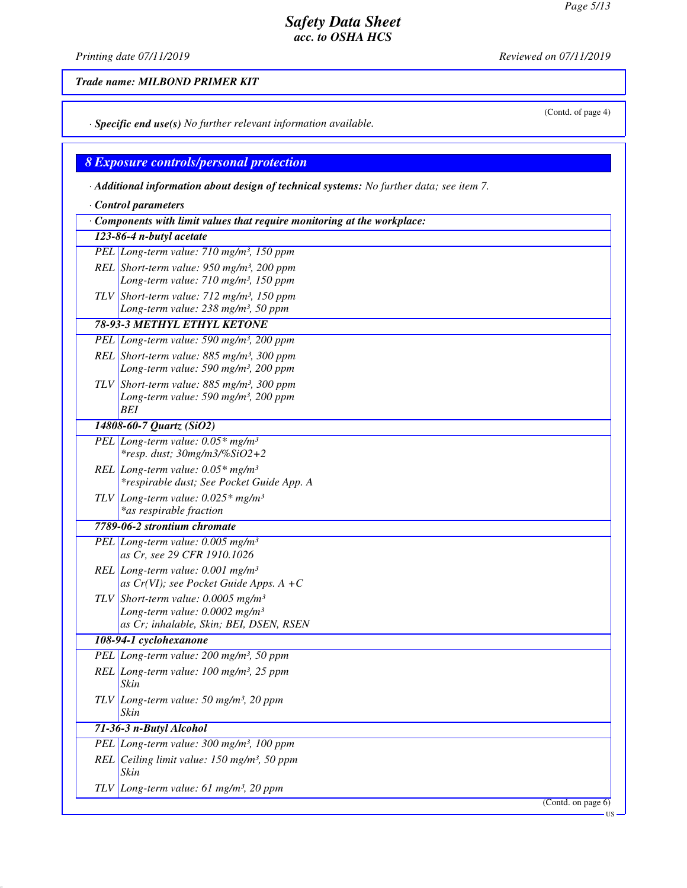*Printing date 07/11/2019 Reviewed on 07/11/2019*

*Trade name: MILBOND PRIMER KIT*

*· Specific end use(s) No further relevant information available.*

# *8 Exposure controls/personal protection*

*· Additional information about design of technical systems: No further data; see item 7.*

| Control parameters                                                             |                                                                                        |  |  |
|--------------------------------------------------------------------------------|----------------------------------------------------------------------------------------|--|--|
| $\cdot$ Components with limit values that require monitoring at the workplace: |                                                                                        |  |  |
| 123-86-4 n-butyl acetate                                                       |                                                                                        |  |  |
|                                                                                | PEL Long-term value: 710 mg/m <sup>3</sup> , 150 ppm                                   |  |  |
|                                                                                | REL Short-term value: $950$ mg/m <sup>3</sup> , 200 ppm                                |  |  |
|                                                                                | Long-term value: 710 mg/m <sup>3</sup> , 150 ppm                                       |  |  |
|                                                                                | TLV Short-term value: $712$ mg/m <sup>3</sup> , 150 ppm                                |  |  |
|                                                                                | Long-term value: 238 mg/m <sup>3</sup> , 50 ppm                                        |  |  |
|                                                                                | <b>78-93-3 METHYL ETHYL KETONE</b>                                                     |  |  |
|                                                                                | PEL Long-term value: 590 mg/m <sup>3</sup> , 200 ppm                                   |  |  |
|                                                                                | REL Short-term value: $885$ mg/m <sup>3</sup> , 300 ppm                                |  |  |
|                                                                                | Long-term value: 590 mg/m <sup>3</sup> , 200 ppm                                       |  |  |
|                                                                                | TLV Short-term value: $885$ mg/m <sup>3</sup> , 300 ppm                                |  |  |
|                                                                                | Long-term value: 590 mg/m <sup>3</sup> , 200 ppm<br>BEI                                |  |  |
|                                                                                | 14808-60-7 Quartz (SiO2)                                                               |  |  |
|                                                                                | PEL Long-term value: $0.05*$ mg/m <sup>3</sup>                                         |  |  |
|                                                                                | $*resp. dust; 30mg/m3/\%SiO2+2$                                                        |  |  |
|                                                                                | REL Long-term value: $0.05*$ mg/m <sup>3</sup>                                         |  |  |
|                                                                                | *respirable dust; See Pocket Guide App. A                                              |  |  |
|                                                                                | TLV Long-term value: $0.025*$ mg/m <sup>3</sup>                                        |  |  |
|                                                                                | *as respirable fraction                                                                |  |  |
|                                                                                | 7789-06-2 strontium chromate                                                           |  |  |
|                                                                                | PEL Long-term value: $0.005$ mg/m <sup>3</sup>                                         |  |  |
|                                                                                | as Cr, see 29 CFR 1910.1026                                                            |  |  |
|                                                                                | REL Long-term value: $0.001$ mg/m <sup>3</sup>                                         |  |  |
|                                                                                | as Cr(VI); see Pocket Guide Apps. $A + C$                                              |  |  |
|                                                                                | TLV Short-term value: $0.0005$ mg/m <sup>3</sup>                                       |  |  |
|                                                                                | Long-term value: $0.0002$ mg/m <sup>3</sup><br>as Cr; inhalable, Skin; BEI, DSEN, RSEN |  |  |
|                                                                                | 108-94-1 cyclohexanone                                                                 |  |  |
|                                                                                | PEL Long-term value: 200 mg/m <sup>3</sup> , 50 ppm                                    |  |  |
|                                                                                | REL Long-term value: $100$ mg/m <sup>3</sup> , $25$ ppm                                |  |  |
|                                                                                | Skin                                                                                   |  |  |
|                                                                                | TLV Long-term value: 50 mg/m <sup>3</sup> , 20 ppm                                     |  |  |
|                                                                                | Skin                                                                                   |  |  |
|                                                                                | 71-36-3 n-Butyl Alcohol                                                                |  |  |
|                                                                                | PEL Long-term value: 300 mg/m <sup>3</sup> , 100 ppm                                   |  |  |
|                                                                                | $REL$ Ceiling limit value: 150 mg/m <sup>3</sup> , 50 ppm<br>Skin                      |  |  |
|                                                                                | TLV Long-term value: 61 mg/m <sup>3</sup> , 20 ppm                                     |  |  |
|                                                                                | (Contd. on page 6)                                                                     |  |  |
|                                                                                | US                                                                                     |  |  |

(Contd. of page 4)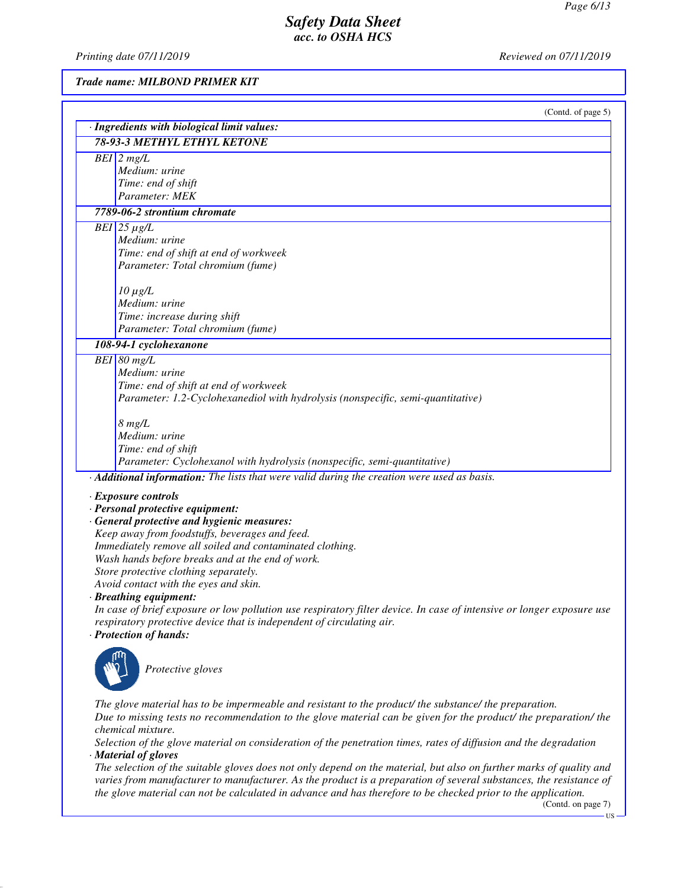*Printing date 07/11/2019 Reviewed on 07/11/2019*

*Trade name: MILBOND PRIMER KIT*

| (Contd. of page 5)<br>· Ingredients with biological limit values:                                                                         |
|-------------------------------------------------------------------------------------------------------------------------------------------|
| <b>78-93-3 METHYL ETHYL KETONE</b>                                                                                                        |
| $BEI$ 2 mg/L                                                                                                                              |
| Medium: urine                                                                                                                             |
| Time: end of shift                                                                                                                        |
| Parameter: MEK                                                                                                                            |
| 7789-06-2 strontium chromate                                                                                                              |
| $\overline{BEI}$ 25 µg/L                                                                                                                  |
| Medium: urine                                                                                                                             |
| Time: end of shift at end of workweek                                                                                                     |
| Parameter: Total chromium (fume)                                                                                                          |
| $10 \mu g/L$                                                                                                                              |
| Medium: urine                                                                                                                             |
| Time: increase during shift                                                                                                               |
| Parameter: Total chromium (fume)                                                                                                          |
| 108-94-1 cyclohexanone                                                                                                                    |
| $BEI$ 80 mg/L                                                                                                                             |
| Medium: urine                                                                                                                             |
| Time: end of shift at end of workweek                                                                                                     |
| Parameter: 1.2-Cyclohexanediol with hydrolysis (nonspecific, semi-quantitative)                                                           |
| $8 \ mg/L$                                                                                                                                |
| Medium: urine                                                                                                                             |
| Time: end of shift                                                                                                                        |
| Parameter: Cyclohexanol with hydrolysis (nonspecific, semi-quantitative)                                                                  |
| · Additional information: The lists that were valid during the creation were used as basis.                                               |
| · Exposure controls                                                                                                                       |
| · Personal protective equipment:                                                                                                          |
| · General protective and hygienic measures:                                                                                               |
| Keep away from foodstuffs, beverages and feed.                                                                                            |
| Immediately remove all soiled and contaminated clothing.                                                                                  |
| Wash hands before breaks and at the end of work.                                                                                          |
| Store protective clothing separately.                                                                                                     |
| Avoid contact with the eyes and skin.                                                                                                     |
| · Breathing equipment:                                                                                                                    |
| In case of brief exposure or low pollution use respiratory filter device. In case of intensive or longer exposure use                     |
| respiratory protective device that is independent of circulating air.                                                                     |
| · Protection of hands:                                                                                                                    |
|                                                                                                                                           |
| Protective gloves                                                                                                                         |
|                                                                                                                                           |
|                                                                                                                                           |
| The glove material has to be impermeable and resistant to the product/ the substance/ the preparation.                                    |
| Due to missing tests no recommendation to the glove material can be given for the product/ the preparation/ the                           |
| chemical mixture.                                                                                                                         |
| Selection of the glove material on consideration of the penetration times, rates of diffusion and the degradation<br>· Material of gloves |
| The selection of the suitable gloves does not only depend on the material, but also on further marks of quality and                       |
|                                                                                                                                           |

*varies from manufacturer to manufacturer. As the product is a preparation of several substances, the resistance of the glove material can not be calculated in advance and has therefore to be checked prior to the application.*

(Contd. on page 7)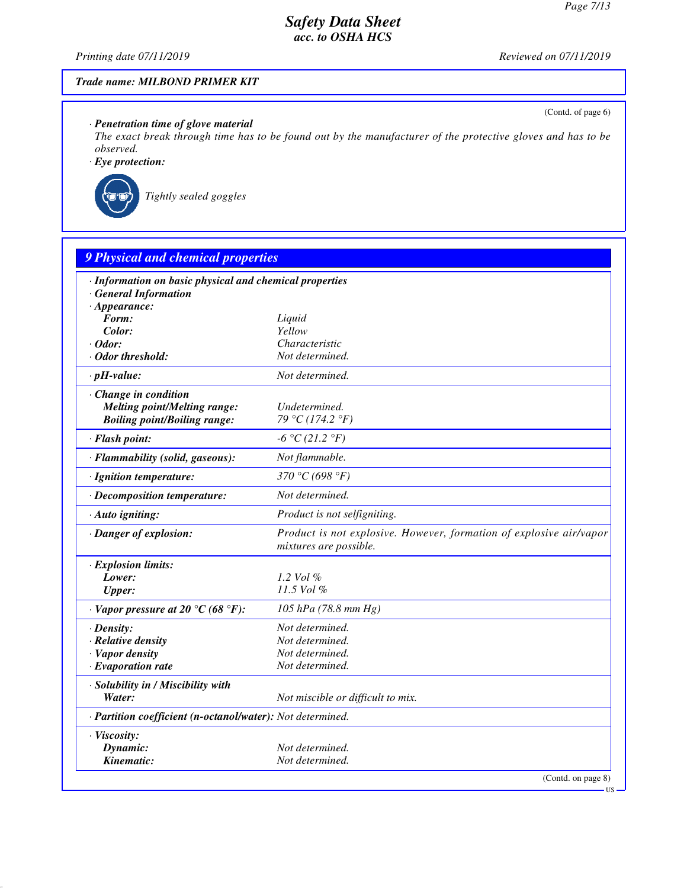(Contd. of page 6)

# *Safety Data Sheet acc. to OSHA HCS*

*Printing date 07/11/2019 Reviewed on 07/11/2019*

## *Trade name: MILBOND PRIMER KIT*

## *· Penetration time of glove material*

*The exact break through time has to be found out by the manufacturer of the protective gloves and has to be observed.*

*· Eye protection:*



*Tightly sealed goggles*

| · Information on basic physical and chemical properties    |                                                                                               |
|------------------------------------------------------------|-----------------------------------------------------------------------------------------------|
| <b>General Information</b>                                 |                                                                                               |
| $\cdot$ Appearance:                                        |                                                                                               |
| Form:                                                      | Liquid                                                                                        |
| Color:                                                     | Yellow                                                                                        |
| $\cdot$ Odor:                                              | Characteristic                                                                                |
| · Odor threshold:                                          | Not determined.                                                                               |
| $\cdot$ pH-value:                                          | Not determined.                                                                               |
| Change in condition                                        |                                                                                               |
| <b>Melting point/Melting range:</b>                        | Undetermined.                                                                                 |
| <b>Boiling point/Boiling range:</b>                        | 79 °C (174.2 °F)                                                                              |
| · Flash point:                                             | $-6 °C (21.2 °F)$                                                                             |
| · Flammability (solid, gaseous):                           | Not flammable.                                                                                |
| · Ignition temperature:                                    | 370 °C (698 °F)                                                                               |
| · Decomposition temperature:                               | Not determined.                                                                               |
| · Auto igniting:                                           | Product is not selfigniting.                                                                  |
| · Danger of explosion:                                     | Product is not explosive. However, formation of explosive air/vapor<br>mixtures are possible. |
| · Explosion limits:                                        |                                                                                               |
| Lower:                                                     | 1.2 Vol $\%$                                                                                  |
| <b>Upper:</b>                                              | 11.5 Vol %                                                                                    |
| $\cdot$ Vapor pressure at 20 $\degree$ C (68 $\degree$ F): | 105 hPa (78.8 mm Hg)                                                                          |
| $\cdot$ Density:                                           | Not determined.                                                                               |
| · Relative density                                         | Not determined.                                                                               |
| · Vapor density                                            | Not determined.                                                                               |
| · Evaporation rate                                         | Not determined.                                                                               |
| · Solubility in / Miscibility with                         |                                                                                               |
| Water:                                                     | Not miscible or difficult to mix.                                                             |
| · Partition coefficient (n-octanol/water): Not determined. |                                                                                               |
| · Viscosity:                                               |                                                                                               |
| Dynamic:                                                   | Not determined.                                                                               |
| Kinematic:                                                 | Not determined.                                                                               |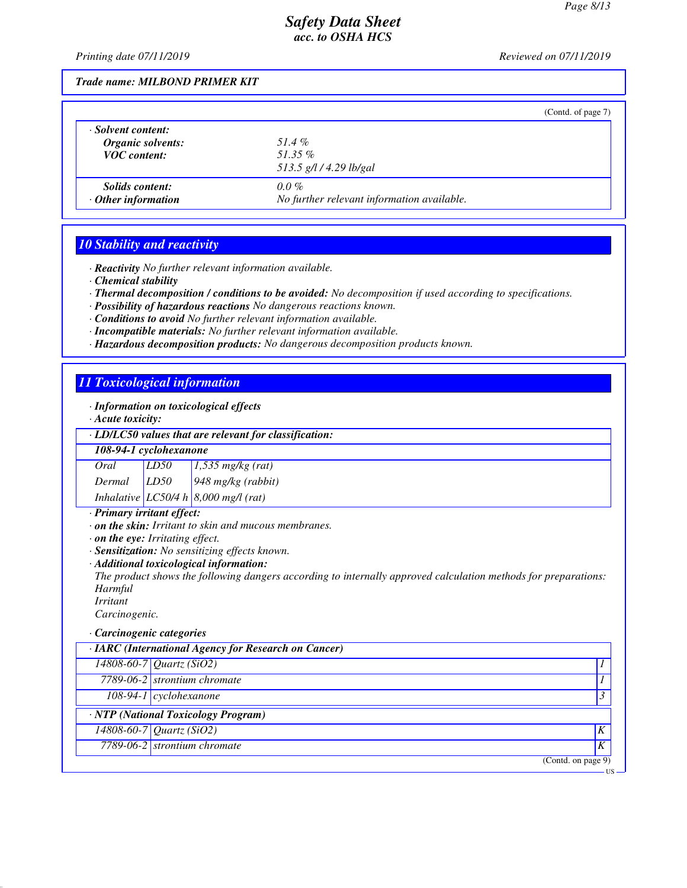*Printing date 07/11/2019 Reviewed on 07/11/2019*

*Trade name: MILBOND PRIMER KIT*

|                           | (Contd. of page 7)                         |
|---------------------------|--------------------------------------------|
| · Solvent content:        | 51.4 $\%$                                  |
| <b>Organic solvents:</b>  | $51.35\%$                                  |
| <b>VOC</b> content:       | 513.5 g/l / 4.29 lb/gal                    |
| <i>Solids content:</i>    | $0.0\%$                                    |
| $\cdot$ Other information | No further relevant information available. |

#### *10 Stability and reactivity*

*· Reactivity No further relevant information available.*

- *· Chemical stability*
- *· Thermal decomposition / conditions to be avoided: No decomposition if used according to specifications.*
- *· Possibility of hazardous reactions No dangerous reactions known.*
- *· Conditions to avoid No further relevant information available.*
- *· Incompatible materials: No further relevant information available.*
- *· Hazardous decomposition products: No dangerous decomposition products known.*

## *11 Toxicological information*

#### *· Information on toxicological effects*

*· Acute toxicity:*

*· LD/LC50 values that are relevant for classification:*

| 108-94-1 cyclohexanone |  |                                                                                                       |  |  |
|------------------------|--|-------------------------------------------------------------------------------------------------------|--|--|
|                        |  |                                                                                                       |  |  |
|                        |  | Oral LD50 1,535 mg/kg (rat)<br>Dermal LD50 948 mg/kg (rabbit)<br>Inhalative LC50/4 h 8,000 mg/l (rat) |  |  |
|                        |  |                                                                                                       |  |  |

*· Primary irritant effect:*

*· on the skin: Irritant to skin and mucous membranes.*

*· on the eye: Irritating effect.*

*· Sensitization: No sensitizing effects known.*

*· Additional toxicological information:*

*The product shows the following dangers according to internally approved calculation methods for preparations: Harmful*

*Irritant*

*Carcinogenic.*

#### *· Carcinogenic categories*

| · IARC (International Agency for Research on Cancer) |                                          |   |  |
|------------------------------------------------------|------------------------------------------|---|--|
|                                                      | $14808 - 60 - 7$ <i>Quartz</i> (SiO2)    |   |  |
|                                                      | 7789-06-2 strontium chromate             |   |  |
|                                                      | $108-94-1$ cyclohexanone                 |   |  |
|                                                      | <b>NTP</b> (National Toxicology Program) |   |  |
|                                                      | $14808 - 60 - 7$ <i>Quartz</i> (SiO2)    | K |  |
|                                                      | 7789-06-2 strontium chromate             | K |  |
|                                                      | (Contd. on page 9)                       |   |  |
|                                                      |                                          |   |  |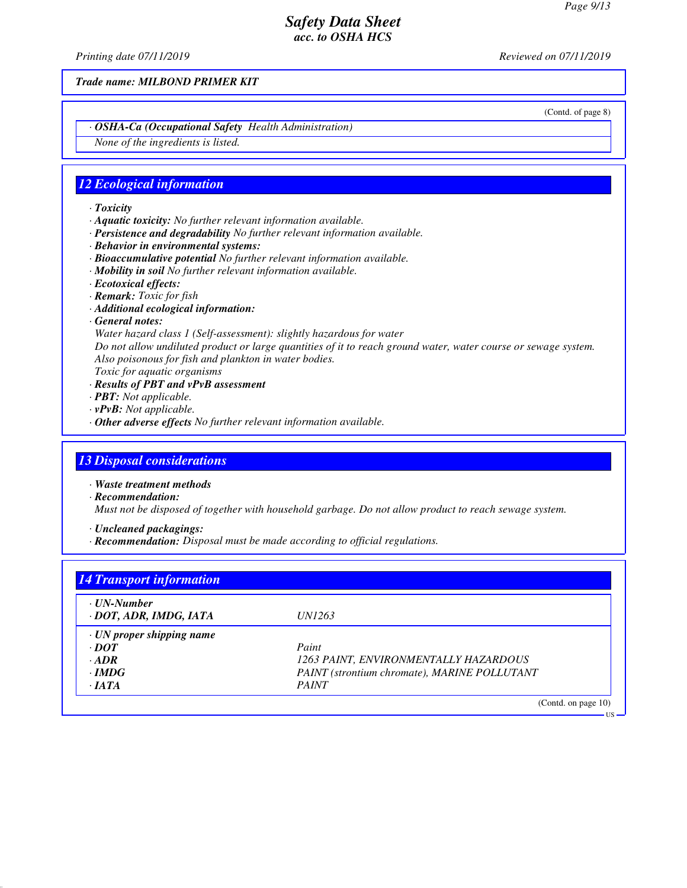*Printing date 07/11/2019 Reviewed on 07/11/2019*

*Trade name: MILBOND PRIMER KIT*

(Contd. of page 8)

US

*· OSHA-Ca (Occupational Safety Health Administration)*

*None of the ingredients is listed.*

#### *12 Ecological information*

#### *· Toxicity*

- *· Aquatic toxicity: No further relevant information available.*
- *· Persistence and degradability No further relevant information available.*
- *· Behavior in environmental systems:*
- *· Bioaccumulative potential No further relevant information available.*
- *· Mobility in soil No further relevant information available.*
- *· Ecotoxical effects:*
- *· Remark: Toxic for fish*
- *· Additional ecological information:*
- *· General notes:*

*Water hazard class 1 (Self-assessment): slightly hazardous for water*

*Do not allow undiluted product or large quantities of it to reach ground water, water course or sewage system. Also poisonous for fish and plankton in water bodies.*

- *Toxic for aquatic organisms · Results of PBT and vPvB assessment*
- *· PBT: Not applicable.*
- 
- *· vPvB: Not applicable.*
- *· Other adverse effects No further relevant information available.*

#### *13 Disposal considerations*

*· Waste treatment methods*

*· Recommendation:*

*Must not be disposed of together with household garbage. Do not allow product to reach sewage system.*

- *· Uncleaned packagings:*
- *· Recommendation: Disposal must be made according to official regulations.*

| · UN-Number<br>· DOT, ADR, IMDG, IATA | <i>UN1263</i>                                |
|---------------------------------------|----------------------------------------------|
|                                       |                                              |
| $\cdot$ UN proper shipping name       |                                              |
| $\cdot$ DOT                           | Paint                                        |
| $-ADR$                                | 1263 PAINT, ENVIRONMENTALLY HAZARDOUS        |
| $\cdot$ IMDG                          | PAINT (strontium chromate), MARINE POLLUTANT |
| $\cdot$ JATA                          | <b>PAINT</b>                                 |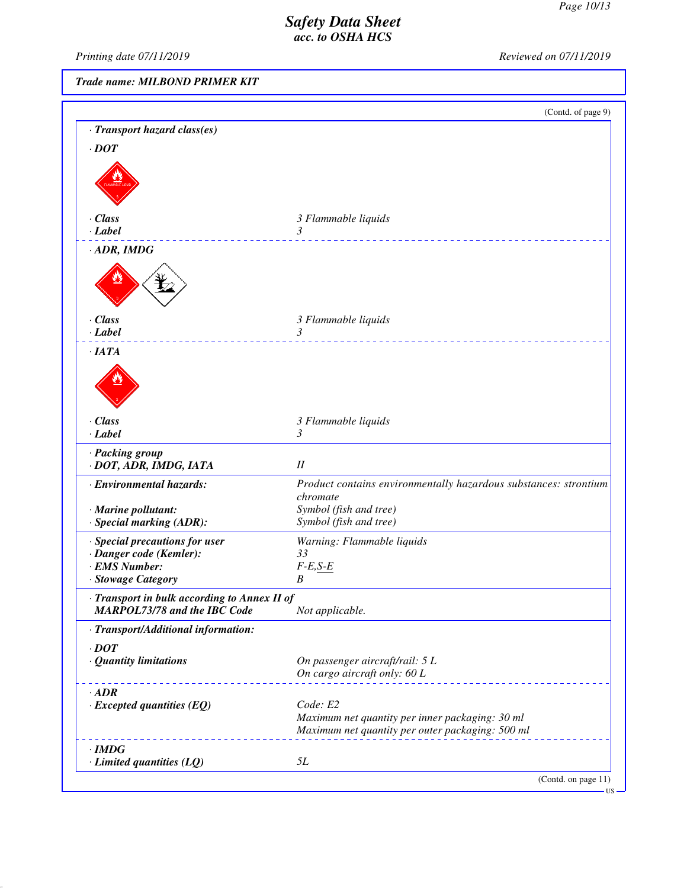*Printing date 07/11/2019 Reviewed on 07/11/2019*

*Trade name: MILBOND PRIMER KIT*

|                                                                                     |                                                                                                                 | (Contd. of page 9) |
|-------------------------------------------------------------------------------------|-----------------------------------------------------------------------------------------------------------------|--------------------|
| · Transport hazard class(es)                                                        |                                                                                                                 |                    |
| $\cdot$ DOT                                                                         |                                                                                                                 |                    |
|                                                                                     |                                                                                                                 |                    |
| · Class<br>$\cdot$ <i>Label</i>                                                     | 3 Flammable liquids<br>3                                                                                        |                    |
| $\cdot$ ADR, IMDG                                                                   |                                                                                                                 |                    |
|                                                                                     |                                                                                                                 |                    |
| $\cdot$ Class<br>$\cdot$ Label                                                      | 3 Flammable liquids<br>3                                                                                        |                    |
| ·IATA                                                                               | ___________________                                                                                             |                    |
|                                                                                     |                                                                                                                 |                    |
| · Class                                                                             | 3 Flammable liquids                                                                                             |                    |
| $\cdot$ Label                                                                       | 3                                                                                                               |                    |
| · Packing group<br>· DOT, ADR, IMDG, IATA                                           | $I\!I$                                                                                                          |                    |
| · Environmental hazards:                                                            | Product contains environmentally hazardous substances: strontium<br>chromate                                    |                    |
| · Marine pollutant:                                                                 | Symbol (fish and tree)                                                                                          |                    |
| · Special marking (ADR):                                                            | Symbol (fish and tree)                                                                                          |                    |
| · Special precautions for user                                                      | Warning: Flammable liquids                                                                                      |                    |
| · Danger code (Kemler):                                                             | 33                                                                                                              |                    |
| · EMS Number:                                                                       | $F-E, S-E$                                                                                                      |                    |
| · Stowage Category                                                                  | B                                                                                                               |                    |
| · Transport in bulk according to Annex II of<br><b>MARPOL73/78 and the IBC Code</b> | Not applicable.                                                                                                 |                    |
| · Transport/Additional information:                                                 |                                                                                                                 |                    |
| $\cdot$ DOT                                                                         |                                                                                                                 |                    |
| · Quantity limitations                                                              | On passenger aircraft/rail: 5 L<br>On cargo aircraft only: 60 L                                                 |                    |
| $\cdot$ ADR                                                                         |                                                                                                                 |                    |
| $\cdot$ Excepted quantities (EQ)                                                    | Code: E2<br>Maximum net quantity per inner packaging: 30 ml<br>Maximum net quantity per outer packaging: 500 ml |                    |
|                                                                                     |                                                                                                                 |                    |
| $\cdot$ IMDG<br>$\cdot$ Limited quantities (LQ)                                     | <i>5L</i>                                                                                                       |                    |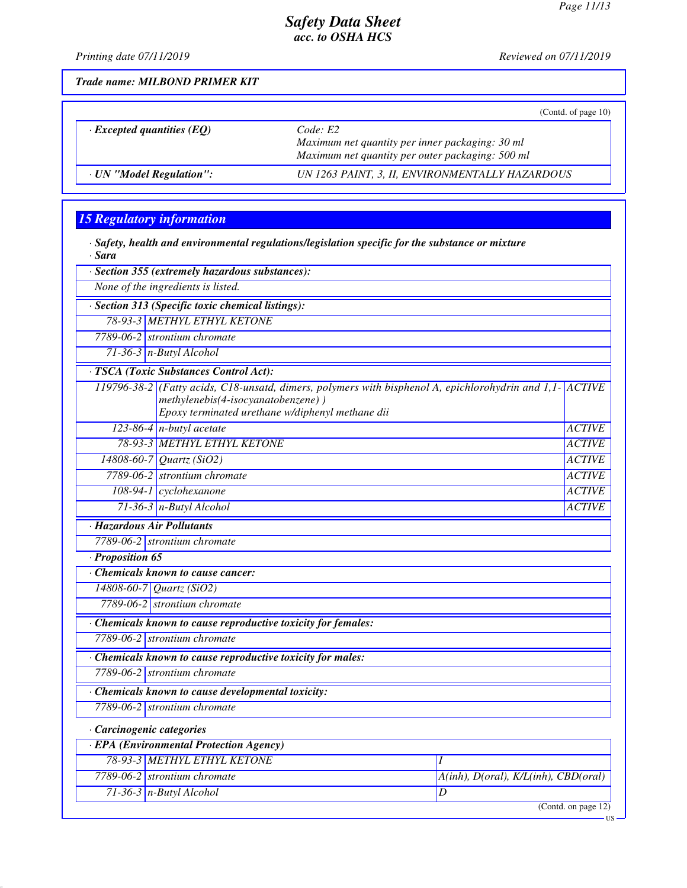*Printing date 07/11/2019 Reviewed on 07/11/2019*

*Trade name: MILBOND PRIMER KIT*

|                                  | (Contd. of page $10$ )                           |
|----------------------------------|--------------------------------------------------|
| $\cdot$ Excepted quantities (EQ) | Code: E2                                         |
|                                  | Maximum net quantity per inner packaging: 30 ml  |
|                                  | Maximum net quantity per outer packaging: 500 ml |
| · UN "Model Regulation":         | UN 1263 PAINT, 3, II, ENVIRONMENTALLY HAZARDOUS  |

# *15 Regulatory information*

*· Safety, health and environmental regulations/legislation specific for the substance or mixture · Sara*

|                  | · Section 355 (extremely hazardous substances):                                                                                                                                                    |                                      |                     |
|------------------|----------------------------------------------------------------------------------------------------------------------------------------------------------------------------------------------------|--------------------------------------|---------------------|
|                  | None of the ingredients is listed.                                                                                                                                                                 |                                      |                     |
|                  | · Section 313 (Specific toxic chemical listings):                                                                                                                                                  |                                      |                     |
|                  | 78-93-3 METHYL ETHYL KETONE                                                                                                                                                                        |                                      |                     |
|                  | 7789-06-2 strontium chromate                                                                                                                                                                       |                                      |                     |
|                  | $71-36-3$ n-Butyl Alcohol                                                                                                                                                                          |                                      |                     |
|                  | · TSCA (Toxic Substances Control Act):                                                                                                                                                             |                                      |                     |
|                  | 119796-38-2 (Fatty acids, C18-unsatd, dimers, polymers with bisphenol A, epichlorohydrin and 1,1- ACTIVE<br>methylenebis(4-isocyanatobenzene))<br>Epoxy terminated urethane w/diphenyl methane dii |                                      |                     |
|                  | $123-86-4$ n-butyl acetate                                                                                                                                                                         |                                      | <b>ACTIVE</b>       |
|                  | 78-93-3 METHYL ETHYL KETONE                                                                                                                                                                        |                                      | <b>ACTIVE</b>       |
|                  | 14808-60-7 Quartz (SiO2)                                                                                                                                                                           |                                      | <b>ACTIVE</b>       |
|                  | 7789-06-2 strontium chromate                                                                                                                                                                       |                                      | <b>ACTIVE</b>       |
|                  | 108-94-1 cyclohexanone                                                                                                                                                                             |                                      | <b>ACTIVE</b>       |
|                  | $71-36-3$ n-Butyl Alcohol                                                                                                                                                                          |                                      | <b>ACTIVE</b>       |
|                  | · Hazardous Air Pollutants                                                                                                                                                                         |                                      |                     |
|                  | 7789-06-2 strontium chromate                                                                                                                                                                       |                                      |                     |
| · Proposition 65 |                                                                                                                                                                                                    |                                      |                     |
|                  | $\overline{\cdot}$ Chemicals known to cause cancer:                                                                                                                                                |                                      |                     |
|                  | 14808-60-7 Quartz (SiO2)                                                                                                                                                                           |                                      |                     |
|                  | 7789-06-2 strontium chromate                                                                                                                                                                       |                                      |                     |
|                  | Chemicals known to cause reproductive toxicity for females:                                                                                                                                        |                                      |                     |
|                  | 7789-06-2 strontium chromate                                                                                                                                                                       |                                      |                     |
|                  | · Chemicals known to cause reproductive toxicity for males:                                                                                                                                        |                                      |                     |
|                  | 7789-06-2 strontium chromate                                                                                                                                                                       |                                      |                     |
|                  | Chemicals known to cause developmental toxicity:                                                                                                                                                   |                                      |                     |
|                  | 7789-06-2 strontium chromate                                                                                                                                                                       |                                      |                     |
|                  |                                                                                                                                                                                                    |                                      |                     |
|                  | · Carcinogenic categories                                                                                                                                                                          |                                      |                     |
|                  | <b>EPA</b> (Environmental Protection Agency)                                                                                                                                                       |                                      |                     |
|                  | 78-93-3 METHYL ETHYL KETONE                                                                                                                                                                        | $\overline{I}$                       |                     |
|                  | 7789-06-2 strontium chromate                                                                                                                                                                       | A(inh), D(oral), K/L(inh), CBD(oral) |                     |
|                  | $71-36-3$ n-Butyl Alcohol                                                                                                                                                                          | $\overline{D}$                       |                     |
|                  |                                                                                                                                                                                                    |                                      | (Contd. on page 12) |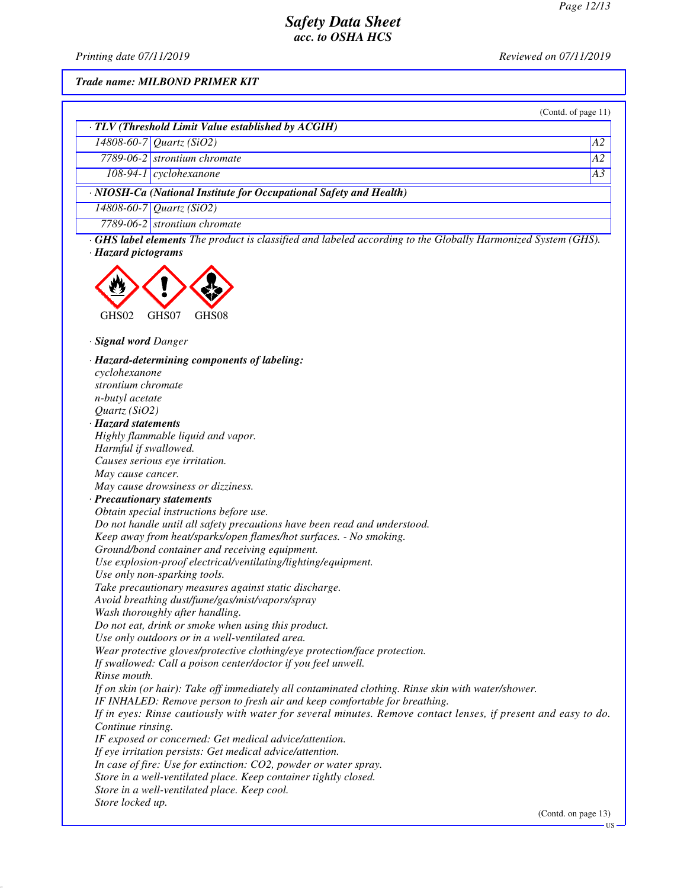US

## *Safety Data Sheet acc. to OSHA HCS*

*Printing date 07/11/2019 Reviewed on 07/11/2019*

#### *Trade name: MILBOND PRIMER KIT*

|                     |                                                                                                                     | (Contd. of page $11$ ) |  |
|---------------------|---------------------------------------------------------------------------------------------------------------------|------------------------|--|
|                     | $\cdot$ TLV (Threshold Limit Value established by ACGIH)                                                            |                        |  |
|                     | 14808-60-7 Quartz (SiO2)                                                                                            | A2                     |  |
|                     | 7789-06-2 strontium chromate                                                                                        | A2                     |  |
|                     | $108-94-1$ cyclohexanone                                                                                            | A3                     |  |
|                     | · NIOSH-Ca (National Institute for Occupational Safety and Health)                                                  |                        |  |
|                     | 14808-60-7 Quartz (SiO2)                                                                                            |                        |  |
|                     | 7789-06-2 strontium chromate                                                                                        |                        |  |
| · Hazard pictograms | $\cdot$ GHS label elements The product is classified and labeled according to the Globally Harmonized System (GHS). |                        |  |

GHS02 GHS07 GHS08

*· Signal word Danger*

*· Hazard-determining components of labeling: cyclohexanone strontium chromate n-butyl acetate Quartz (SiO2) · Hazard statements Highly flammable liquid and vapor. Harmful if swallowed. Causes serious eye irritation. May cause cancer. May cause drowsiness or dizziness. · Precautionary statements Obtain special instructions before use. Do not handle until all safety precautions have been read and understood. Keep away from heat/sparks/open flames/hot surfaces. - No smoking. Ground/bond container and receiving equipment. Use explosion-proof electrical/ventilating/lighting/equipment. Use only non-sparking tools. Take precautionary measures against static discharge. Avoid breathing dust/fume/gas/mist/vapors/spray Wash thoroughly after handling. Do not eat, drink or smoke when using this product. Use only outdoors or in a well-ventilated area. Wear protective gloves/protective clothing/eye protection/face protection. If swallowed: Call a poison center/doctor if you feel unwell. Rinse mouth. If on skin (or hair): Take off immediately all contaminated clothing. Rinse skin with water/shower. IF INHALED: Remove person to fresh air and keep comfortable for breathing. If in eyes: Rinse cautiously with water for several minutes. Remove contact lenses, if present and easy to do. Continue rinsing. IF exposed or concerned: Get medical advice/attention. If eye irritation persists: Get medical advice/attention. In case of fire: Use for extinction: CO2, powder or water spray. Store in a well-ventilated place. Keep container tightly closed. Store in a well-ventilated place. Keep cool. Store locked up.* (Contd. on page 13)